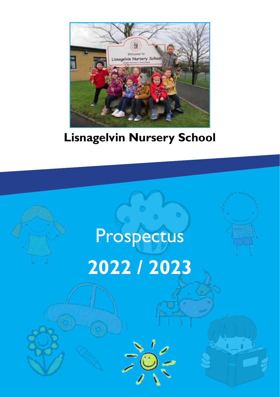

### **Lisnagelvin Nursery School**

# Prospectus **2022 / 2023**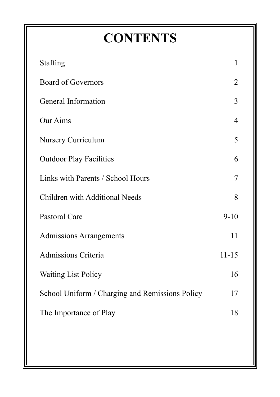# **CONTENTS**

| Staffing                                        | 1                        |
|-------------------------------------------------|--------------------------|
| <b>Board of Governors</b>                       | 2                        |
| General Information                             | 3                        |
| Our Aims                                        | $\overline{\mathcal{A}}$ |
| Nursery Curriculum                              | 5                        |
| <b>Outdoor Play Facilities</b>                  | 6                        |
| Links with Parents / School Hours               | 7                        |
| Children with Additional Needs                  | 8                        |
| Pastoral Care                                   | $9 - 10$                 |
| <b>Admissions Arrangements</b>                  | 11                       |
| <b>Admissions Criteria</b>                      | $11 - 15$                |
| <b>Waiting List Policy</b>                      | 16                       |
| School Uniform / Charging and Remissions Policy | 17                       |
| The Importance of Play                          | 18                       |
|                                                 |                          |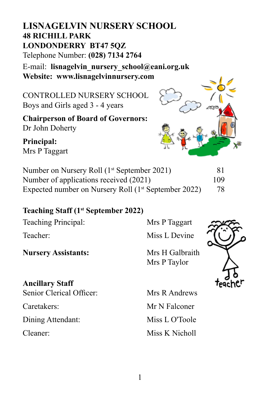#### **LISNAGELVIN NURSERY SCHOOL 48 RICHILL PARK LONDONDERRY BT47 5QZ** Telephone Number: **(028) 7134 2764**

E-mail: **lisnagelvin\_nursery\_school@eani.org.uk Website: www.lisnagelvinnursery.com**

CONTROLLED NURSERY SCHOOL Boys and Girls aged 3 - 4 years

**Chairperson of Board of Governors:** Dr John Doherty

**Principal:** Mrs P Taggart

| Number on Nursery Roll (1 <sup>st</sup> September 2021)          | 81  |
|------------------------------------------------------------------|-----|
| Number of applications received (2021)                           | 109 |
| Expected number on Nursery Roll (1 <sup>st</sup> September 2022) | 78  |

#### **Teaching Staff (1st September 2022)**

Teaching Principal: Mrs P Taggart

**Nursery Assistants:** Mrs H Galbraith

Teacher: Miss L Devine

Mrs P Taylor



#### **Ancillary Staff**

Senior Clerical Officer: Mrs R Andrews

Dining Attendant: Miss L O'Toole

Caretakers: Mr N Falconer Cleaner: Miss K Nicholl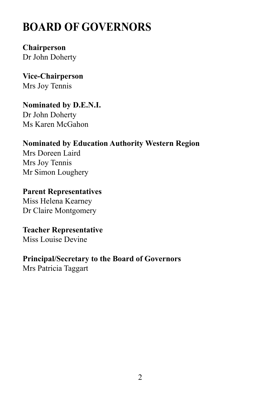### **BOARD OF GOVERNORS**

**Chairperson** Dr John Doherty

**Vice-Chairperson** Mrs Joy Tennis

**Nominated by D.E.N.I.** Dr John Doherty Ms Karen McGahon

#### **Nominated by Education Authority Western Region**

Mrs Doreen Laird Mrs Joy Tennis Mr Simon Loughery

#### **Parent Representatives**

Miss Helena Kearney Dr Claire Montgomery

### **Teacher Representative**

Miss Louise Devine

#### **Principal/Secretary to the Board of Governors**

Mrs Patricia Taggart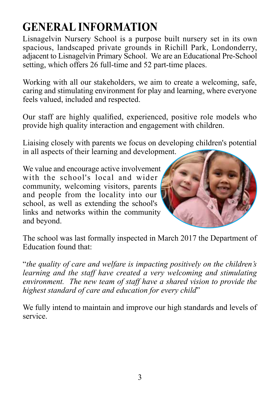### **GENERAL INFORMATION**

Lisnagelvin Nursery School is a purpose built nursery set in its own spacious, landscaped private grounds in Richill Park, Londonderry, adjacent to Lisnagelvin Primary School. We are an Educational Pre-School setting, which offers 26 full-time and 52 part-time places.

Working with all our stakeholders, we aim to create a welcoming, safe, caring and stimulating environment for play and learning, where everyone feels valued, included and respected.

Our staff are highly qualified, experienced, positive role models who provide high quality interaction and engagement with children.

Liaising closely with parents we focus on developing children's potential in all aspects of their learning and development.

We value and encourage active involvement with the school's local and wider community, welcoming visitors, parents and people from the locality into our school, as well as extending the school's links and networks within the community and beyond.



The school was last formally inspected in March 2017 the Department of Education found that:

"*the quality of care and welfare is impacting positively on the children's learning and the staff have created a very welcoming and stimulating environment. The new team of staff have a shared vision to provide the highest standard of care and education for every child*"

We fully intend to maintain and improve our high standards and levels of service.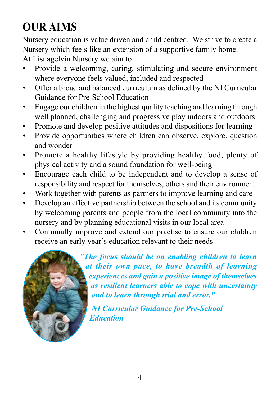# **OUR AIMS**

Nursery education is value driven and child centred. We strive to create a Nursery which feels like an extension of a supportive family home.

At Lisnagelvin Nursery we aim to:

- Provide a welcoming, caring, stimulating and secure environment where everyone feels valued, included and respected
- Offer a broad and balanced curriculum as defined by the NI Curricular Guidance for Pre-School Education
- Engage our children in the highest quality teaching and learning through well planned, challenging and progressive play indoors and outdoors
- Promote and develop positive attitudes and dispositions for learning
- Provide opportunities where children can observe, explore, question and wonder
- Promote a healthy lifestyle by providing healthy food, plenty of physical activity and a sound foundation for well-being
- Encourage each child to be independent and to develop a sense of responsibility and respect for themselves, others and their environment.
- Work together with parents as partners to improve learning and care
- Develop an effective partnership between the school and its community by welcoming parents and people from the local community into the nursery and by planning educational visits in our local area
- Continually improve and extend our practise to ensure our children receive an early year's education relevant to their needs



*"The focus should be on enabling children to learn at their own pace, to have breadth of learning experiences and gain a positive image of themselves as resilient learners able to cope with uncertainty and to learn through trial and error."*

*NI Curricular Guidance for Pre-School Education*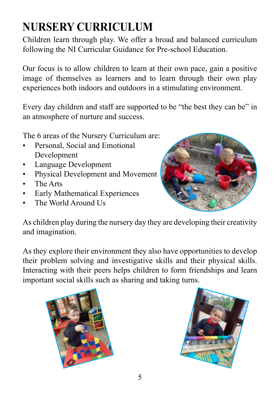### **NURSERY CURRICULUM**

Children learn through play. We offer a broad and balanced curriculum following the NI Curricular Guidance for Pre-school Education.

Our focus is to allow children to learn at their own pace, gain a positive image of themselves as learners and to learn through their own play experiences both indoors and outdoors in a stimulating environment.

Every day children and staff are supported to be "the best they can be" in an atmosphere of nurture and success.

The 6 areas of the Nursery Curriculum are:

- • Personal, Social and Emotional Development
- Language Development
- **Physical Development and Movement**
- The Arts
- • Early Mathematical Experiences
- The World Around Us



As children play during the nursery day they are developing their creativity and imagination.

As they explore their environment they also have opportunities to develop their problem solving and investigative skills and their physical skills. Interacting with their peers helps children to form friendships and learn important social skills such as sharing and taking turns.



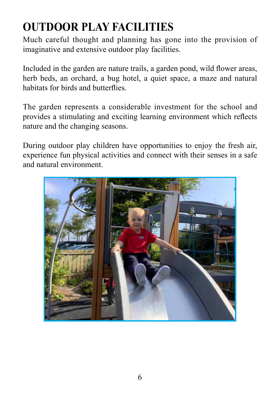# **OUTDOOR PLAY FACILITIES**

Much careful thought and planning has gone into the provision of imaginative and extensive outdoor play facilities.

Included in the garden are nature trails, a garden pond, wild flower areas, herb beds, an orchard, a bug hotel, a quiet space, a maze and natural habitats for birds and butterflies.

The garden represents a considerable investment for the school and provides a stimulating and exciting learning environment which reflects nature and the changing seasons.

During outdoor play children have opportunities to enjoy the fresh air, experience fun physical activities and connect with their senses in a safe and natural environment.

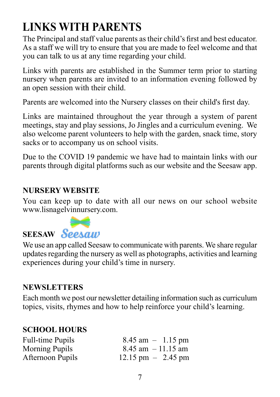# **LINKS WITH PARENTS**

The Principal and staff value parents astheir child's first and best educator. As a staff we will try to ensure that you are made to feel welcome and that you can talk to us at any time regarding your child.

Links with parents are established in the Summer term prior to starting nursery when parents are invited to an information evening followed by an open session with their child.

Parents are welcomed into the Nursery classes on their child's first day.

Links are maintained throughout the year through a system of parent meetings, stay and play sessions, Jo Jingles and a curriculum evening. We also welcome parent volunteers to help with the garden, snack time, story sacks or to accompany us on school visits.

Due to the COVID 19 pandemic we have had to maintain links with our parents through digital platforms such as our website and the Seesaw app.

#### **NURSERY WEBSITE**

You can keep up to date with all our news on our school website www.lisnagelvinnursery.com.

# **SEESAW** Seesaw

We use an app called Seesaw to communicate with parents. We share regular updates regarding the nursery as well as photographs, activities and learning experiences during your child's time in nursery.

#### **NEWSLETTERS**

Each month we post our newsletter detailing information such as curriculum topics, visits, rhymes and how to help reinforce your child's learning.

#### **SCHOOL HOURS**

| <b>Full-time Pupils</b> | $8.45$ am $-1.15$ pm                 |
|-------------------------|--------------------------------------|
| <b>Morning Pupils</b>   | $8.45$ am $-11.15$ am                |
| Afternoon Pupils        | $12.15 \text{ pm} - 2.45 \text{ pm}$ |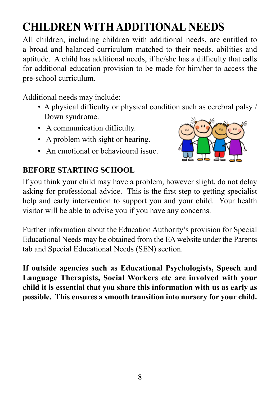# **CHILDREN WITH ADDITIONAL NEEDS**

All children, including children with additional needs, are entitled to a broad and balanced curriculum matched to their needs, abilities and aptitude. A child has additional needs, if he/she has a difficulty that calls for additional education provision to be made for him/her to access the pre-school curriculum.

Additional needs may include:

- A physical difficulty or physical condition such as cerebral palsy / Down syndrome.
- A communication difficulty.
- A problem with sight or hearing.
- An emotional or behavioural issue.

### **BEFORE STARTING SCHOOL**



If you think your child may have a problem, however slight, do not delay asking for professional advice. This is the first step to getting specialist help and early intervention to support you and your child. Your health visitor will be able to advise you if you have any concerns.

Further information about the Education Authority's provision for Special Educational Needs may be obtained from the EA website under the Parents tab and Special Educational Needs (SEN) section.

**If outside agencies such as Educational Psychologists, Speech and Language Therapists, Social Workers etc are involved with your child it is essential that you share this information with us as early as possible. This ensures a smooth transition into nursery for your child.**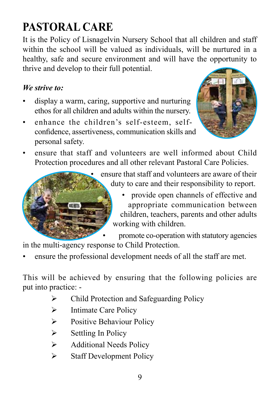# **PASTORAL CARE**

It is the Policy of Lisnagelvin Nursery School that all children and staff within the school will be valued as individuals, will be nurtured in a healthy, safe and secure environment and will have the opportunity to thrive and develop to their full potential.

#### *We strive to:*

- display a warm, caring, supportive and nurturing ethos for all children and adults within the nursery.
- enhance the children's self-esteem, self- confidence, assertiveness, communication skills and personal safety.



ensure that staff and volunteers are well informed about Child Protection procedures and all other relevant Pastoral Care Policies.



ensure that staff and volunteers are aware of their duty to care and their responsibility to report.

 • provide open channels of effective and appropriate communication between children, teachers, parents and other adults working with children.

promote co-operation with statutory agencies

in the multi-agency response to Child Protection.

ensure the professional development needs of all the staff are met.

This will be achieved by ensuring that the following policies are put into practice: -

- Child Protection and Safeguarding Policy
- $\triangleright$  Intimate Care Policy
- $\triangleright$  Positive Behaviour Policy
- $\triangleright$  Settling In Policy
- $\triangleright$  Additional Needs Policy
- $\triangleright$  Staff Development Policy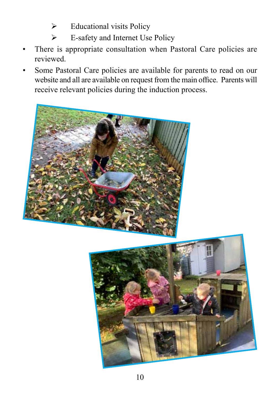- $\triangleright$  Educational visits Policy
- $\triangleright$  E-safety and Internet Use Policy
- There is appropriate consultation when Pastoral Care policies are reviewed.
- Some Pastoral Care policies are available for parents to read on our website and all are available on request from the main office. Parents will receive relevant policies during the induction process.

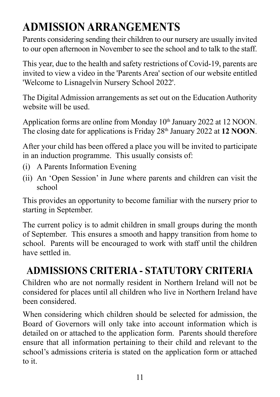# **ADMISSION ARRANGEMENTS**

Parents considering sending their children to our nursery are usually invited to our open afternoon in November to see the school and to talk to the staff.

This year, due to the health and safety restrictions of Covid-19, parents are invited to view a video in the 'Parents Area' section of our website entitled 'Welcome to Lisnagelvin Nursery School 2022'.

The Digital Admission arrangements as set out on the Education Authority website will be used.

Application forms are online from Monday 10<sup>th</sup> January 2022 at 12 NOON. The closing date for applications is Friday 28th January 2022 at **12 NOON**.

After your child has been offered a place you will be invited to participate in an induction programme. This usually consists of:

- (i) A Parents Information Evening
- (ii) An 'Open Session' in June where parents and children can visit the school

This provides an opportunity to become familiar with the nursery prior to starting in September.

The current policy is to admit children in small groups during the month of September. This ensures a smooth and happy transition from home to school. Parents will be encouraged to work with staff until the children have settled in.

### **ADMISSIONS CRITERIA - STATUTORY CRITERIA**

Children who are not normally resident in Northern Ireland will not be considered for places until all children who live in Northern Ireland have been considered.

When considering which children should be selected for admission, the Board of Governors will only take into account information which is detailed on or attached to the application form. Parents should therefore ensure that all information pertaining to their child and relevant to the school's admissions criteria is stated on the application form or attached to it.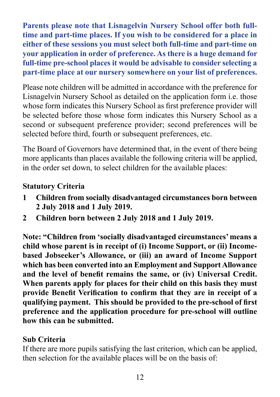**Parents please note that Lisnagelvin Nursery School offer both fulltime and part-time places. If you wish to be considered for a place in either of these sessions you must select both full-time and part-time on your application in order of preference. As there is a huge demand for full-time pre-school places it would be advisable to consider selecting a part-time place at our nursery somewhere on your list of preferences.**

Please note children will be admitted in accordance with the preference for Lisnagelvin Nursery School as detailed on the application form i.e. those whose form indicates this Nursery School as first preference provider will be selected before those whose form indicates this Nursery School as a second or subsequent preference provider; second preferences will be selected before third, fourth or subsequent preferences, etc.

The Board of Governors have determined that, in the event of there being more applicants than places available the following criteria will be applied, in the order set down, to select children for the available places:

### **Statutory Criteria**

- **1 Children from socially disadvantaged circumstances born between 2 July 2018 and 1 July 2019.**
- **2 Children born between 2 July 2018 and 1 July 2019.**

**Note: "Children from 'socially disadvantaged circumstances' means a child whose parent is in receipt of (i) Income Support, or (ii) Incomebased Jobseeker's Allowance, or (iii) an award of Income Support which has been converted into an Employment and Support Allowance and the level of benefit remains the same, or (iv) Universal Credit. When parents apply for places for their child on this basis they must provide Benefit Verification to confirm that they are in receipt of a qualifying payment. This should be provided to the pre-school of first preference and the application procedure for pre-school will outline how this can be submitted.**

#### **Sub Criteria**

If there are more pupils satisfying the last criterion, which can be applied, then selection for the available places will be on the basis of: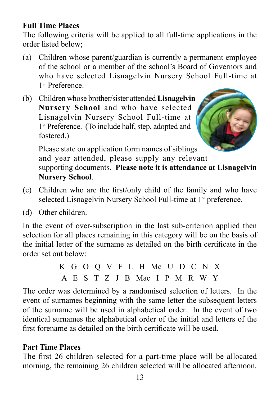#### **Full Time Places**

The following criteria will be applied to all full-time applications in the order listed below;

- (a) Children whose parent/guardian is currently a permanent employee of the school or a member of the school's Board of Governors and who have selected Lisnagelvin Nursery School Full-time at 1st Preference.
- (b) Children whose brother/sister attended **Lisnagelvin Nursery School** and who have selected Lisnagelvin Nursery School Full-time at 1<sup>st</sup> Preference. (To include half, step, adopted and fostered.)



 Please state on application form names of siblings and year attended, please supply any relevant supporting documents. **Please note it is attendance at Lisnagelvin Nursery School**.

- (c) Children who are the first/only child of the family and who have selected Lisnagelvin Nursery School Full-time at 1<sup>st</sup> preference.
- (d) Other children.

In the event of over-subscription in the last sub-criterion applied then selection for all places remaining in this category will be on the basis of the initial letter of the surname as detailed on the birth certificate in the order set out below:

> K G O Q V F L H Mc U D C N X A E S T Z J B Mac I P M R W Y

The order was determined by a randomised selection of letters. In the event of surnames beginning with the same letter the subsequent letters of the surname will be used in alphabetical order. In the event of two identical surnames the alphabetical order of the initial and letters of the first forename as detailed on the birth certificate will be used.

### **Part Time Places**

The first 26 children selected for a part-time place will be allocated morning, the remaining 26 children selected will be allocated afternoon.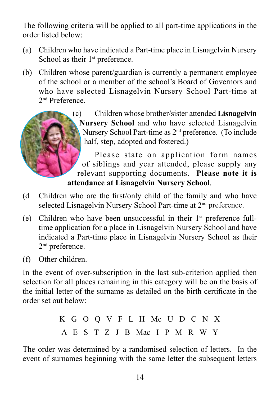The following criteria will be applied to all part-time applications in the order listed below:

- (a) Children who have indicated a Part-time place in Lisnagelvin Nursery School as their  $1<sup>st</sup>$  preference.
- (b) Children whose parent/guardian is currently a permanent employee of the school or a member of the school's Board of Governors and who have selected Lisnagelvin Nursery School Part-time at 2nd Preference.



(c) Children whose brother/sister attended **Lisnagelvin Nursery School** and who have selected Lisnagelvin Nursery School Part-time as 2nd preference. (To include half, step, adopted and fostered.)

 Please state on application form names of siblings and year attended, please supply any relevant supporting documents. **Please note it is attendance at Lisnagelvin Nursery School**.

- (d Children who are the first/only child of the family and who have selected Lisnagelvin Nursery School Part-time at 2<sup>nd</sup> preference.
- (e) Children who have been unsuccessful in their  $1<sup>st</sup>$  preference fulltime application for a place in Lisnagelvin Nursery School and have indicated a Part-time place in Lisnagelvin Nursery School as their 2<sup>nd</sup> preference.
- (f) Other children.

In the event of over-subscription in the last sub-criterion applied then selection for all places remaining in this category will be on the basis of the initial letter of the surname as detailed on the birth certificate in the order set out below:

> K G O Q V F L H Mc U D C N X A E S T Z J B Mac I P M R W Y

The order was determined by a randomised selection of letters. In the event of surnames beginning with the same letter the subsequent letters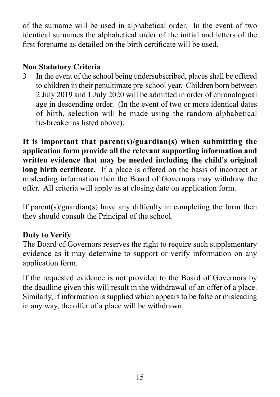of the surname will be used in alphabetical order. In the event of two identical surnames the alphabetical order of the initial and letters of the first forename as detailed on the birth certificate will be used.

### **Non Statutory Criteria**

3 In the event of the school being undersubscribed, places shall be offered to children in their penultimate pre-school year. Children born between 2 July 2019 and 1 July 2020 will be admitted in order of chronological age in descending order. (In the event of two or more identical dates of birth, selection will be made using the random alphabetical tie-breaker as listed above).

**It is important that parent(s)/guardian(s) when submitting the application form provide all the relevant supporting information and written evidence that may be needed including the child's original long birth certificate.** If a place is offered on the basis of incorrect or misleading information then the Board of Governors may withdraw the offer. All criteria will apply as at closing date on application form.

If parent(s)/guardian(s) have any difficulty in completing the form then they should consult the Principal of the school.

#### **Duty to Verify**

The Board of Governors reserves the right to require such supplementary evidence as it may determine to support or verify information on any application form.

If the requested evidence is not provided to the Board of Governors by the deadline given this will result in the withdrawal of an offer of a place. Similarly, if information is supplied which appears to be false or misleading in any way, the offer of a place will be withdrawn.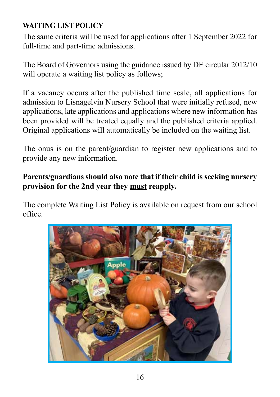### **WAITING LIST POLICY**

The same criteria will be used for applications after 1 September 2022 for full-time and part-time admissions.

The Board of Governors using the guidance issued by DE circular 2012/10 will operate a waiting list policy as follows:

If a vacancy occurs after the published time scale, all applications for admission to Lisnagelvin Nursery School that were initially refused, new applications, late applications and applications where new information has been provided will be treated equally and the published criteria applied. Original applications will automatically be included on the waiting list.

The onus is on the parent/guardian to register new applications and to provide any new information.

#### **Parents/guardians should also note that if their child is seeking nursery provision for the 2nd year they must reapply.**

The complete Waiting List Policy is available on request from our school office.

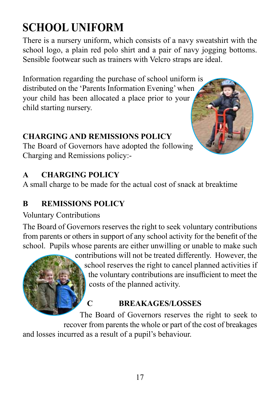# **SCHOOL UNIFORM**

There is a nursery uniform, which consists of a navy sweatshirt with the school logo, a plain red polo shirt and a pair of navy jogging bottoms. Sensible footwear such as trainers with Velcro straps are ideal.

Information regarding the purchase of school uniform is distributed on the 'Parents Information Evening'when your child has been allocated a place prior to your child starting nursery.

### **CHARGING AND REMISSIONS POLICY**

The Board of Governors have adopted the following Charging and Remissions policy:-

### **A CHARGING POLICY**

A small charge to be made for the actual cost of snack at breaktime

### **B REMISSIONS POLICY**

### Voluntary Contributions

The Board of Governors reserves the right to seek voluntary contributions from parents or others in support of any school activity for the benefit of the school. Pupils whose parents are either unwilling or unable to make such

contributions will not be treated differently. However, the school reserves the right to cancel planned activities if the voluntary contributions are insufficient to meet the costs of the planned activity.

### **C BREAKAGES/LOSSES**

The Board of Governors reserves the right to seek to recover from parents the whole or part of the cost of breakages and losses incurred as a result of a pupil's behaviour.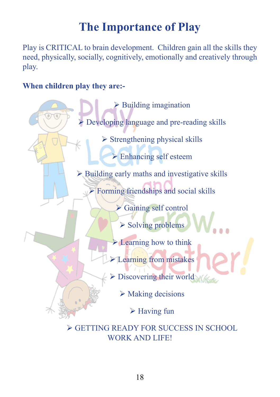### **The Importance of Play**

Play is CRITICAL to brain development. Children gain all the skills they need, physically, socially, cognitively, emotionally and creatively through play.

**When children play they are:-**



 GETTING READY FOR SUCCESS IN SCHOOL WORK AND LIFE!